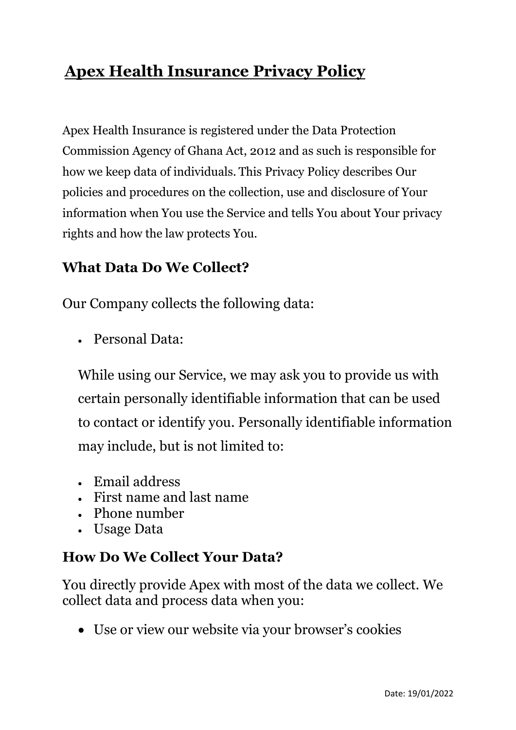# **Apex Health Insurance Privacy Policy**

Apex Health Insurance is registered under the Data Protection Commission Agency of Ghana Act, 2012 and as such is responsible for how we keep data of individuals. This Privacy Policy describes Our policies and procedures on the collection, use and disclosure of Your information when You use the Service and tells You about Your privacy rights and how the law protects You.

## **What Data Do We Collect?**

Our Company collects the following data:

• Personal Data:

While using our Service, we may ask you to provide us with certain personally identifiable information that can be used to contact or identify you. Personally identifiable information may include, but is not limited to:

- Email address
- First name and last name
- Phone number
- Usage Data

### **How Do We Collect Your Data?**

You directly provide Apex with most of the data we collect. We collect data and process data when you:

• Use or view our website via your browser's cookies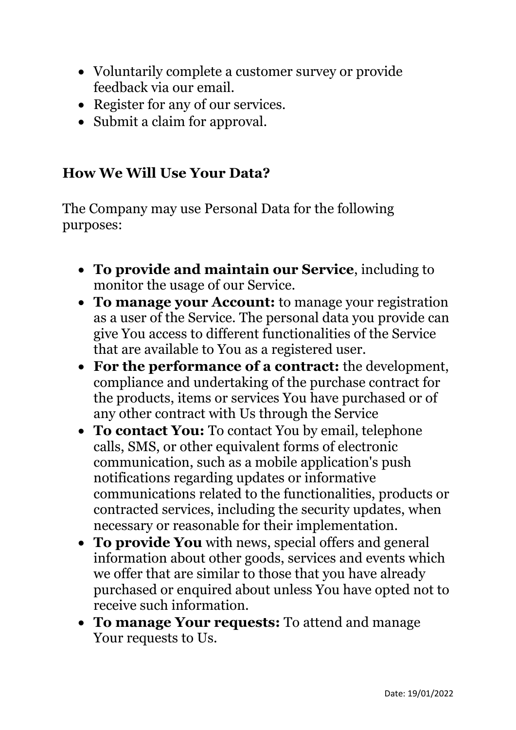- Voluntarily complete a customer survey or provide feedback via our email.
- Register for any of our services.
- Submit a claim for approval.

## **How We Will Use Your Data?**

The Company may use Personal Data for the following purposes:

- **To provide and maintain our Service**, including to monitor the usage of our Service.
- **To manage your Account:** to manage your registration as a user of the Service. The personal data you provide can give You access to different functionalities of the Service that are available to You as a registered user.
- **For the performance of a contract:** the development, compliance and undertaking of the purchase contract for the products, items or services You have purchased or of any other contract with Us through the Service
- **To contact You:** To contact You by email, telephone calls, SMS, or other equivalent forms of electronic communication, such as a mobile application's push notifications regarding updates or informative communications related to the functionalities, products or contracted services, including the security updates, when necessary or reasonable for their implementation.
- **To provide You** with news, special offers and general information about other goods, services and events which we offer that are similar to those that you have already purchased or enquired about unless You have opted not to receive such information.
- **To manage Your requests:** To attend and manage Your requests to Us.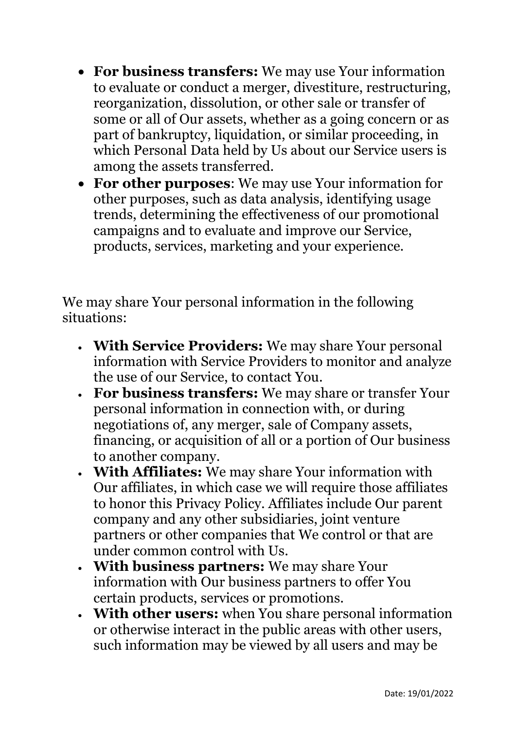- **For business transfers:** We may use Your information to evaluate or conduct a merger, divestiture, restructuring, reorganization, dissolution, or other sale or transfer of some or all of Our assets, whether as a going concern or as part of bankruptcy, liquidation, or similar proceeding, in which Personal Data held by Us about our Service users is among the assets transferred.
- **For other purposes**: We may use Your information for other purposes, such as data analysis, identifying usage trends, determining the effectiveness of our promotional campaigns and to evaluate and improve our Service, products, services, marketing and your experience.

We may share Your personal information in the following situations:

- **With Service Providers:** We may share Your personal information with Service Providers to monitor and analyze the use of our Service, to contact You.
- **For business transfers:** We may share or transfer Your personal information in connection with, or during negotiations of, any merger, sale of Company assets, financing, or acquisition of all or a portion of Our business to another company.
- **With Affiliates:** We may share Your information with Our affiliates, in which case we will require those affiliates to honor this Privacy Policy. Affiliates include Our parent company and any other subsidiaries, joint venture partners or other companies that We control or that are under common control with Us.
- **With business partners:** We may share Your information with Our business partners to offer You certain products, services or promotions.
- **With other users:** when You share personal information or otherwise interact in the public areas with other users, such information may be viewed by all users and may be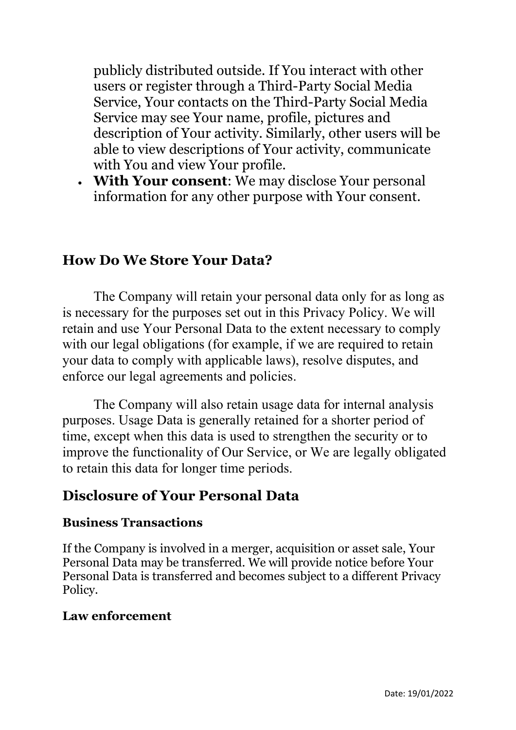publicly distributed outside. If You interact with other users or register through a Third-Party Social Media Service, Your contacts on the Third-Party Social Media Service may see Your name, profile, pictures and description of Your activity. Similarly, other users will be able to view descriptions of Your activity, communicate with You and view Your profile.

• **With Your consent**: We may disclose Your personal information for any other purpose with Your consent.

### **How Do We Store Your Data?**

The Company will retain your personal data only for as long as is necessary for the purposes set out in this Privacy Policy. We will retain and use Your Personal Data to the extent necessary to comply with our legal obligations (for example, if we are required to retain your data to comply with applicable laws), resolve disputes, and enforce our legal agreements and policies.

The Company will also retain usage data for internal analysis purposes. Usage Data is generally retained for a shorter period of time, except when this data is used to strengthen the security or to improve the functionality of Our Service, or We are legally obligated to retain this data for longer time periods.

### **Disclosure of Your Personal Data**

#### **Business Transactions**

If the Company is involved in a merger, acquisition or asset sale, Your Personal Data may be transferred. We will provide notice before Your Personal Data is transferred and becomes subject to a different Privacy Policy.

#### **Law enforcement**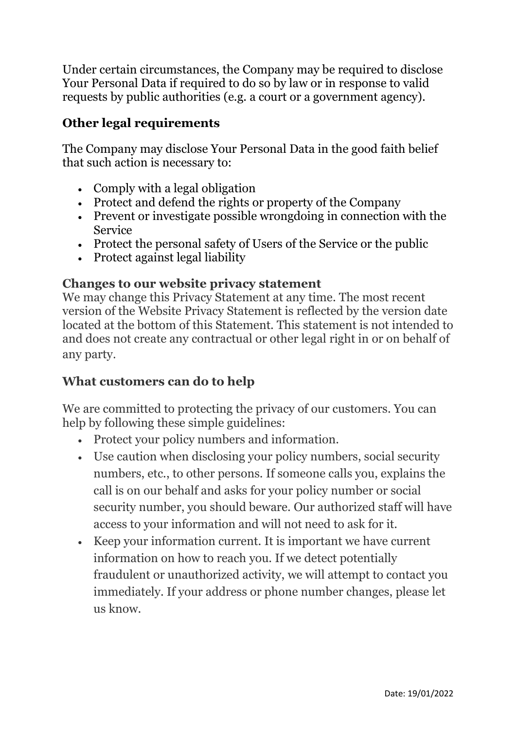Under certain circumstances, the Company may be required to disclose Your Personal Data if required to do so by law or in response to valid requests by public authorities (e.g. a court or a government agency).

### **Other legal requirements**

The Company may disclose Your Personal Data in the good faith belief that such action is necessary to:

- Comply with a legal obligation
- Protect and defend the rights or property of the Company
- Prevent or investigate possible wrongdoing in connection with the Service
- Protect the personal safety of Users of the Service or the public
- Protect against legal liability

#### **Changes to our website privacy statement**

We may change this Privacy Statement at any time. The most recent version of the Website Privacy Statement is reflected by the version date located at the bottom of this Statement. This statement is not intended to and does not create any contractual or other legal right in or on behalf of any party.

### **What customers can do to help**

We are committed to protecting the privacy of our customers. You can help by following these simple guidelines:

- Protect your policy numbers and information.
- Use caution when disclosing your policy numbers, social security numbers, etc., to other persons. If someone calls you, explains the call is on our behalf and asks for your policy number or social security number, you should beware. Our authorized staff will have access to your information and will not need to ask for it.
- Keep your information current. It is important we have current information on how to reach you. If we detect potentially fraudulent or unauthorized activity, we will attempt to contact you immediately. If your address or phone number changes, please let us know.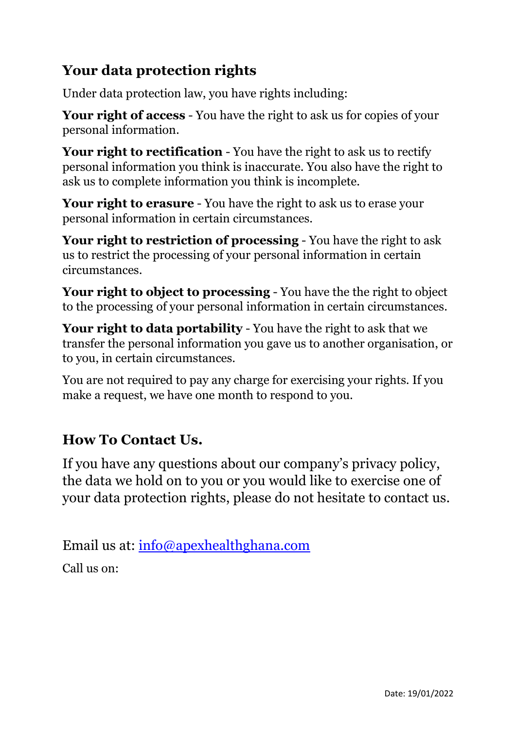## **Your data protection rights**

Under data protection law, you have rights including:

**Your right of access** - You have the right to ask us for copies of your personal information.

**Your right to rectification** - You have the right to ask us to rectify personal information you think is inaccurate. You also have the right to ask us to complete information you think is incomplete.

**Your right to erasure** - You have the right to ask us to erase your personal information in certain circumstances.

**Your right to restriction of processing** - You have the right to ask us to restrict the processing of your personal information in certain circumstances.

**Your right to object to processing - You have the the right to object** to the processing of your personal information in certain circumstances.

**Your right to data portability** - You have the right to ask that we transfer the personal information you gave us to another organisation, or to you, in certain circumstances.

You are not required to pay any charge for exercising your rights. If you make a request, we have one month to respond to you.

## **How To Contact Us.**

If you have any questions about our company's privacy policy, the data we hold on to you or you would like to exercise one of your data protection rights, please do not hesitate to contact us.

Email us at: [info@apexhealthghana.com](mailto:info@apexhealthghana.com) Call us on: